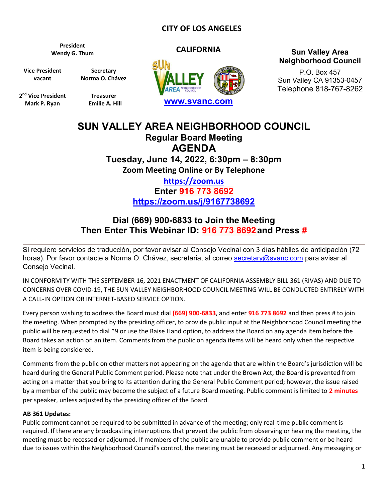### **CITY OF LOS ANGELES**

**President**

**Vice President vacant**

**Secretary Norma O. Chávez**

**2 nd Vice President Mark P. Ryan**

**Treasurer Emilie A. Hill**



### **CALIFORNIA CALIFORNIA Sun Valley Area CALIFORNIA Neighborhood Council**

P.O. Box 457 Sun Valley CA 91353-0457 Telephone 818-767-8262

# **SUN VALLEY AREA NEIGHBORHOOD COUNCIL Regular Board Meeting AGENDA Tuesday, June 14, 2022, 6:30pm – 8:30pm Zoom Meeting Online or By Telephone [https://zoom.us](https://zoom.us/)**

**Enter 916 773 8692 <https://zoom.us/j/9167738692>**

## **Dial (669) 900-6833 to Join the Meeting Then Enter This Webinar ID: 916 773 8692and Press #**

Si requiere servicios de traducción, por favor avisar al Consejo Vecinal con 3 días hábiles de anticipación (72 horas). Por favor contacte a Norma O. Chávez, secretaria, al correo [secretary@svanc.com](mailto:secretary@svanc.com) para avisar al Consejo Vecinal.

IN CONFORMITY WITH THE SEPTEMBER 16, 2021 ENACTMENT OF CALIFORNIA ASSEMBLY BILL 361 (RIVAS) AND DUE TO CONCERNS OVER COVID-19, THE SUN VALLEY NEIGHBORHOOD COUNCIL MEETING WILL BE CONDUCTED ENTIRELY WITH A CALL-IN OPTION OR INTERNET-BASED SERVICE OPTION.

Every person wishing to address the Board must dial **(669) 900-6833**, and enter **916 773 8692** and then press # to join the meeting. When prompted by the presiding officer, to provide public input at the Neighborhood Council meeting the public will be requested to dial \*9 or use the Raise Hand option, to address the Board on any agenda item before the Board takes an action on an item. Comments from the public on agenda items will be heard only when the respective item is being considered.

Comments from the public on other matters not appearing on the agenda that are within the Board's jurisdiction will be heard during the General Public Comment period. Please note that under the Brown Act, the Board is prevented from acting on a matter that you bring to its attention during the General Public Comment period; however, the issue raised by a member of the public may become the subject of a future Board meeting. Public comment is limited to **2 minutes** per speaker, unless adjusted by the presiding officer of the Board.

#### **AB 361 Updates:**

Public comment cannot be required to be submitted in advance of the meeting; only real-time public comment is required. If there are any broadcasting interruptions that prevent the public from observing or hearing the meeting, the meeting must be recessed or adjourned. If members of the public are unable to provide public comment or be heard due to issues within the Neighborhood Council's control, the meeting must be recessed or adjourned. Any messaging or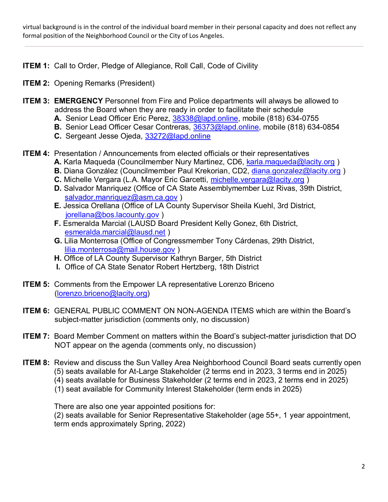virtual background is in the control of the individual board member in their personal capacity and does not reflect any formal position of the Neighborhood Council or the City of Los Angeles.

- **ITEM 1:** Call to Order, Pledge of Allegiance, Roll Call, Code of Civility
- **ITEM 2:** Opening Remarks (President)
- **ITEM 3: EMERGENCY** Personnel from Fire and Police departments will always be allowed to address the Board when they are ready in order to facilitate their schedule
	- **A.** Senior Lead Officer Eric Perez, [38338@lapd.online,](mailto:38338@lapd.online) mobile (818) 634-0755
	- **B.** Senior Lead Officer Cesar Contreras, [36373@lapd.online,](mailto:36373@lapd.online) mobile (818) 634-0854
	- **C.** Sergeant Jesse Ojeda, [33272@lapd.online](mailto:33272@lapd.online)
- **ITEM 4:** Presentation / Announcements from elected officials or their representatives **A.** Karla Maqueda (Councilmember Nury Martinez, CD6, [karla.maqueda@lacity.org](mailto:karla.maqueda@lacity.org) )
	- **B.** Diana González (Councilmember Paul Krekorian, CD2, [diana.gonzalez@lacity.org](mailto:diana.gonzalez@lacity.org))
	- **C.** Michelle Vergara (L.A. Mayor Eric Garcetti, [michelle.vergara@lacity.org](mailto:michelle.vergara@lacity.org) )
	- **D.** Salvador Manriquez (Office of CA State Assemblymember Luz Rivas, 39th District, [salvador.manriquez@asm.ca.gov](mailto:salvador.manriquez@asm.ca.gov))
	- **E.** Jessica Orellana (Office of LA County Supervisor Sheila Kuehl, 3rd District, [jorellana@bos.lacounty.gov](mailto:jorellana@bos.lacounty.gov) )
	- **F.** Esmeralda Marcial (LAUSD Board President Kelly Gonez, 6th District, [esmeralda.marcial@lausd.net](mailto:esmeralda.marcial@lausd.net) )
	- **G.** Lilia Monterrosa (Office of Congressmember Tony Cárdenas, 29th District, [lilia.monterrosa@mail.house.gov](mailto:lilia.monterrosa@mail.house.gov) )
	- **H.** Office of LA County Supervisor Kathryn Barger, 5th District
	- **I.** Office of CA State Senator Robert Hertzberg, 18th District
- **ITEM 5:** Comments from the Empower LA representative Lorenzo Briceno [\(lorenzo.briceno@lacity.org\)](mailto:lorenzo.briceno@lacity.org)
- **ITEM 6:** GENERAL PUBLIC COMMENT ON NON-AGENDA ITEMS which are within the Board's subject-matter jurisdiction (comments only, no discussion)
- **ITEM 7:** Board Member Comment on matters within the Board's subject-matter jurisdiction that DO NOT appear on the agenda (comments only, no discussion)
- **ITEM 8:** Review and discuss the Sun Valley Area Neighborhood Council Board seats currently open (5) seats available for At-Large Stakeholder (2 terms end in 2023, 3 terms end in 2025) (4) seats available for Business Stakeholder (2 terms end in 2023, 2 terms end in 2025)
	- (1) seat available for Community Interest Stakeholder (term ends in 2025)

There are also one year appointed positions for:

(2) seats available for Senior Representative Stakeholder (age 55+, 1 year appointment, term ends approximately Spring, 2022)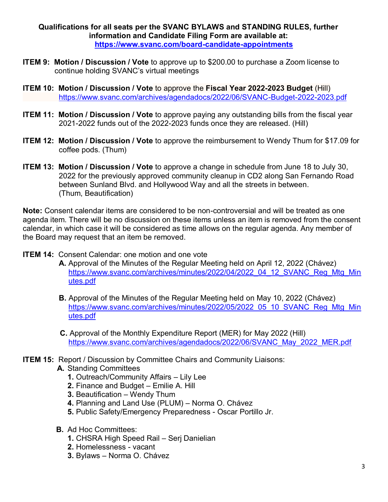**Qualifications for all seats per the SVANC BYLAWS and STANDING RULES, further information and Candidate Filing Form are available at: <https://www.svanc.com/board-candidate-appointments>**

- **ITEM 9: Motion / Discussion / Vote** to approve up to \$200.00 to purchase a Zoom license to continue holding SVANC's virtual meetings
- **ITEM 10: Motion / Discussion / Vote** to approve the **Fiscal Year 2022-2023 Budget** (Hill) <https://www.svanc.com/archives/agendadocs/2022/06/SVANC-Budget-2022-2023.pdf>
- **ITEM 11: Motion / Discussion / Vote** to approve paying any outstanding bills from the fiscal year 2021-2022 funds out of the 2022-2023 funds once they are released. (Hill)
- **ITEM 12: Motion / Discussion / Vote** to approve the reimbursement to Wendy Thum for \$17.09 for coffee pods. (Thum)
- **ITEM 13: Motion / Discussion / Vote** to approve a change in schedule from June 18 to July 30, 2022 for the previously approved community cleanup in CD2 along San Fernando Road between Sunland Blvd. and Hollywood Way and all the streets in between. (Thum, Beautification)

**Note:** Consent calendar items are considered to be non-controversial and will be treated as one agenda item. There will be no discussion on these items unless an item is removed from the consent calendar, in which case it will be considered as time allows on the regular agenda. Any member of the Board may request that an item be removed.

- **ITEM 14: Consent Calendar: one motion and one vote** 
	- **A.** Approval of the Minutes of the Regular Meeting held on April 12, 2022 (Chávez) [https://www.svanc.com/archives/minutes/2022/04/2022\\_04\\_12\\_SVANC\\_Reg\\_Mtg\\_Min](https://www.svanc.com/archives/minutes/2022/04/2022_04_12_SVANC_Reg_Mtg_Minutes.pdf) [utes.pdf](https://www.svanc.com/archives/minutes/2022/04/2022_04_12_SVANC_Reg_Mtg_Minutes.pdf)
	- **B.** Approval of the Minutes of the Regular Meeting held on May 10, 2022 (Chávez) [https://www.svanc.com/archives/minutes/2022/05/2022\\_05\\_10\\_SVANC\\_Reg\\_Mtg\\_Min](https://www.svanc.com/archives/minutes/2022/05/2022_05_10_SVANC_Reg_Mtg_Minutes.pdf) [utes.pdf](https://www.svanc.com/archives/minutes/2022/05/2022_05_10_SVANC_Reg_Mtg_Minutes.pdf)
	- **C.** Approval of the Monthly Expenditure Report (MER) for May 2022 (Hill) [https://www.svanc.com/archives/agendadocs/2022/06/SVANC\\_May\\_2022\\_MER.pdf](https://www.svanc.com/archives/agendadocs/2022/06/SVANC_May_2022_MER.pdf)
- **ITEM 15: Report / Discussion by Committee Chairs and Community Liaisons:** 
	- **A.** Standing Committees
		- **1.** Outreach/Community Affairs Lily Lee
		- **2.** Finance and Budget Emilie A. Hill
		- **3.** Beautification Wendy Thum
		- **4.** Planning and Land Use (PLUM) Norma O. Chávez
		- **5.** Public Safety/Emergency Preparedness Oscar Portillo Jr.
	- **B.** Ad Hoc Committees:
		- **1.** CHSRA High Speed Rail Serj Danielian
		- **2.** Homelessness vacant
		- **3.** Bylaws Norma O. Chávez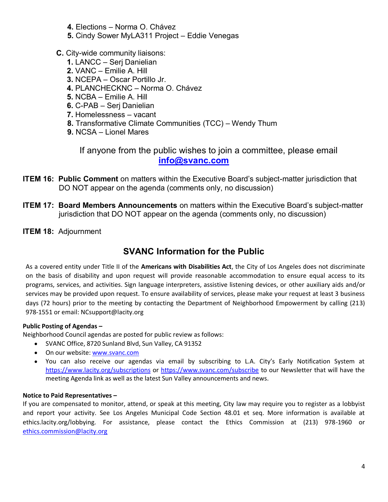- **4.** Elections Norma O. Chávez
- **5.** Cindy Sower MyLA311 Project Eddie Venegas
- **C.** City-wide community liaisons:
	- **1.** LANCC Serj Danielian
	- **2.** VANC Emilie A. Hill
	- **3.** NCEPA Oscar Portillo Jr.
	- **4.** PLANCHECKNC Norma O. Chávez
	- **5.** NCBA Emilie A. Hill
	- **6.** C-PAB Serj Danielian
	- **7.** Homelessness vacant
	- **8.** Transformative Climate Communities (TCC) Wendy Thum
	- **9.** NCSA Lionel Mares

 If anyone from the public wishes to join a committee, please email **[info@svanc.com](mailto:info@svanc.com)**

- **ITEM 16: Public Comment** on matters within the Executive Board's subject-matter jurisdiction that DO NOT appear on the agenda (comments only, no discussion)
- **ITEM 17: Board Members Announcements** on matters within the Executive Board's subject-matter jurisdiction that DO NOT appear on the agenda (comments only, no discussion)
- **ITEM 18:** Adjournment

## **SVANC Information for the Public**

As a covered entity under Title II of the **Americans with Disabilities Act**, the City of Los Angeles does not discriminate on the basis of disability and upon request will provide reasonable accommodation to ensure equal access to its programs, services, and activities. Sign language interpreters, assistive listening devices, or other auxiliary aids and/or services may be provided upon request. To ensure availability of services, please make your request at least 3 business days (72 hours) prior to the meeting by contacting the Department of Neighborhood Empowerment by calling (213) 978-1551 or email: NCsupport@lacity.org

### **Public Posting of Agendas –**

Neighborhood Council agendas are posted for public review as follows:

- SVANC Office, 8720 Sunland Blvd, Sun Valley, CA 91352
- On our website: [www.svanc.com](https://www.www.svanc.com/)
- You can also receive our agendas via email by subscribing to L.A. City's Early Notification System at <https://www.lacity.org/subscriptions> or<https://www.svanc.com/subscribe> to our Newsletter that will have the meeting Agenda link as well as the latest Sun Valley announcements and news.

### **Notice to Paid Representatives –**

If you are compensated to monitor, attend, or speak at this meeting, City law may require you to register as a lobbyist and report your activity. See Los Angeles Municipal Code Section 48.01 et seq. More information is available at ethics.lacity.org/lobbying. For assistance, please contact the Ethics Commission at (213) 978-1960 or [ethics.commission@lacity.org](http://ethics.commission@lacity.org)